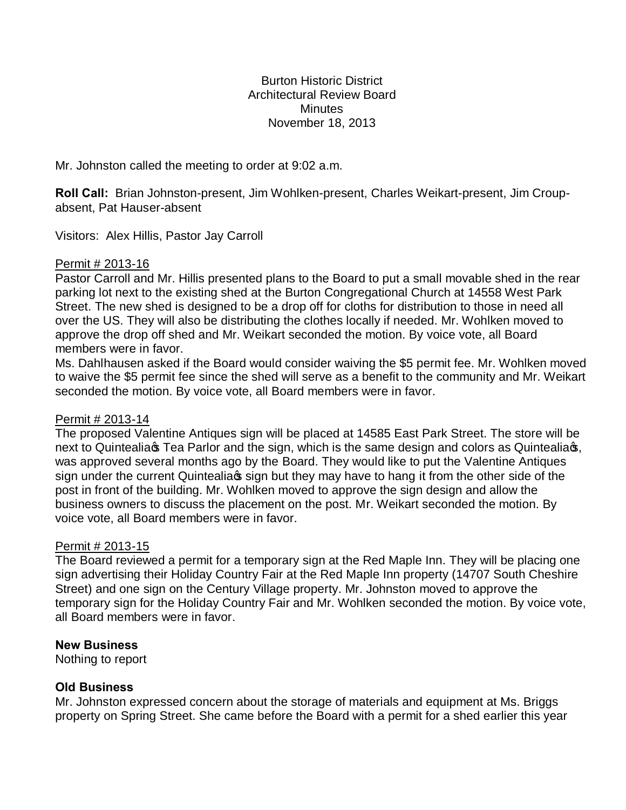Burton Historic District Architectural Review Board **Minutes** November 18, 2013

Mr. Johnston called the meeting to order at 9:02 a.m.

**Roll Call:** Brian Johnston-present, Jim Wohlken-present, Charles Weikart-present, Jim Croupabsent, Pat Hauser-absent

Visitors: Alex Hillis, Pastor Jay Carroll

## Permit # 2013-16

Pastor Carroll and Mr. Hillis presented plans to the Board to put a small movable shed in the rear parking lot next to the existing shed at the Burton Congregational Church at 14558 West Park Street. The new shed is designed to be a drop off for cloths for distribution to those in need all over the US. They will also be distributing the clothes locally if needed. Mr. Wohlken moved to approve the drop off shed and Mr. Weikart seconded the motion. By voice vote, all Board members were in favor.

Ms. Dahlhausen asked if the Board would consider waiving the \$5 permit fee. Mr. Wohlken moved to waive the \$5 permit fee since the shed will serve as a benefit to the community and Mr. Weikart seconded the motion. By voice vote, all Board members were in favor.

### Permit # 2013-14

The proposed Valentine Antiques sign will be placed at 14585 East Park Street. The store will be next to Quintealia Tea Parlor and the sign, which is the same design and colors as Quintealia  $\epsilon$ , was approved several months ago by the Board. They would like to put the Valentine Antiques sign under the current Quintealia s sign but they may have to hang it from the other side of the post in front of the building. Mr. Wohlken moved to approve the sign design and allow the business owners to discuss the placement on the post. Mr. Weikart seconded the motion. By voice vote, all Board members were in favor.

### Permit # 2013-15

The Board reviewed a permit for a temporary sign at the Red Maple Inn. They will be placing one sign advertising their Holiday Country Fair at the Red Maple Inn property (14707 South Cheshire Street) and one sign on the Century Village property. Mr. Johnston moved to approve the temporary sign for the Holiday Country Fair and Mr. Wohlken seconded the motion. By voice vote, all Board members were in favor.

### **New Business**

Nothing to report

# **Old Business**

Mr. Johnston expressed concern about the storage of materials and equipment at Ms. Briggs property on Spring Street. She came before the Board with a permit for a shed earlier this year